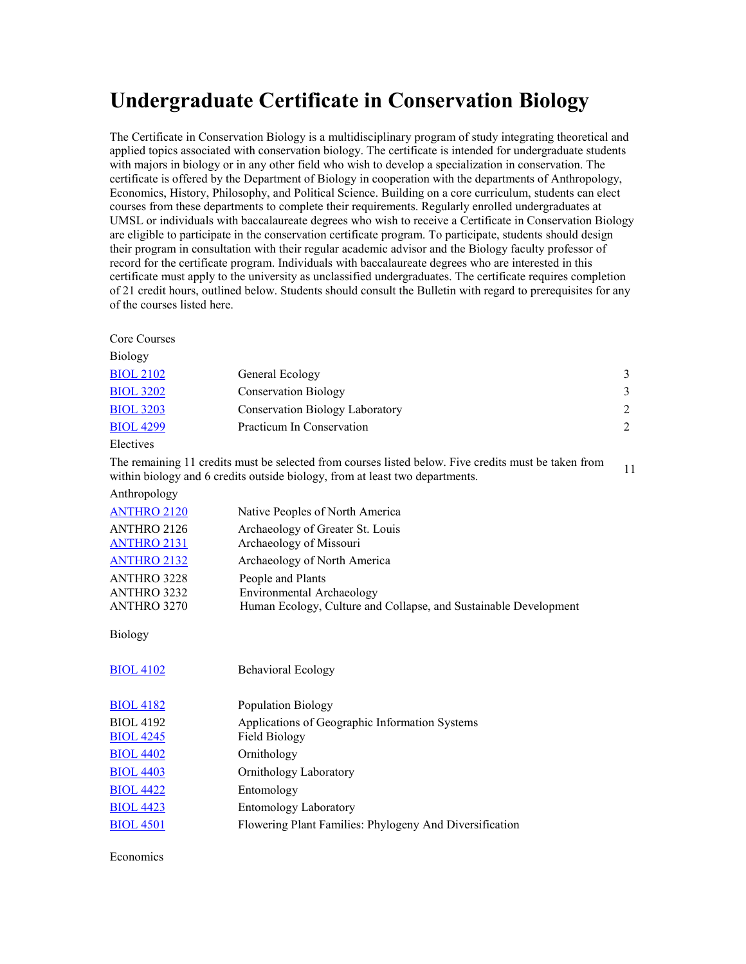## **Undergraduate Certificate in Conservation Biology**

The Certificate in Conservation Biology is a multidisciplinary program of study integrating theoretical and applied topics associated with conservation biology. The certificate is intended for undergraduate students with majors in biology or in any other field who wish to develop a specialization in conservation. The certificate is offered by the Department of Biology in cooperation with the departments of Anthropology, Economics, History, Philosophy, and Political Science. Building on a core curriculum, students can elect courses from these departments to complete their requirements. Regularly enrolled undergraduates at UMSL or individuals with baccalaureate degrees who wish to receive a Certificate in Conservation Biology are eligible to participate in the conservation certificate program. To participate, students should design their program in consultation with their regular academic advisor and the Biology faculty professor of record for the certificate program. Individuals with baccalaureate degrees who are interested in this certificate must apply to the university as unclassified undergraduates. The certificate requires completion of 21 credit hours, outlined below. Students should consult the Bulletin with regard to prerequisites for any of the courses listed here.

|  | Core Courses |
|--|--------------|
|--|--------------|

| Biology          |                                 |   |
|------------------|---------------------------------|---|
| <b>BIOL 2102</b> | General Ecology                 | 3 |
| <b>BIOL 3202</b> | <b>Conservation Biology</b>     | 3 |
| <b>BIOL 3203</b> | Conservation Biology Laboratory | 2 |
| <b>BIOL 4299</b> | Practicum In Conservation       | 2 |
| Electives        |                                 |   |

The remaining 11 credits must be selected from courses listed below. Five credits must be taken from The remaining 11 credits must be selected from courses insted below. Five credits must be taken from 11<br>within biology and 6 credits outside biology, from at least two departments.

Anthropology

| <b>ANTHRO 2120</b> | Native Peoples of North America                                  |
|--------------------|------------------------------------------------------------------|
| ANTHRO 2126        | Archaeology of Greater St. Louis                                 |
| <b>ANTHRO 2131</b> | Archaeology of Missouri                                          |
| <b>ANTHRO 2132</b> | Archaeology of North America                                     |
| <b>ANTHRO 3228</b> | People and Plants                                                |
| ANTHRO 3232        | Environmental Archaeology                                        |
| ANTHRO 3270        | Human Ecology, Culture and Collapse, and Sustainable Development |

Biology

| <b>BIOL 4102</b><br><b>Behavioral Ecology</b>                               |  |
|-----------------------------------------------------------------------------|--|
| <b>BIOL 4182</b><br>Population Biology                                      |  |
| <b>BIOL 4192</b><br>Applications of Geographic Information Systems          |  |
| <b>BIOL 4245</b><br>Field Biology                                           |  |
| <b>BIOL 4402</b><br>Ornithology                                             |  |
| <b>BIOL 4403</b><br>Ornithology Laboratory                                  |  |
| <b>BIOL 4422</b><br>Entomology                                              |  |
| <b>BIOL 4423</b><br><b>Entomology Laboratory</b>                            |  |
| <b>BIOL 4501</b><br>Flowering Plant Families: Phylogeny And Diversification |  |

Economics